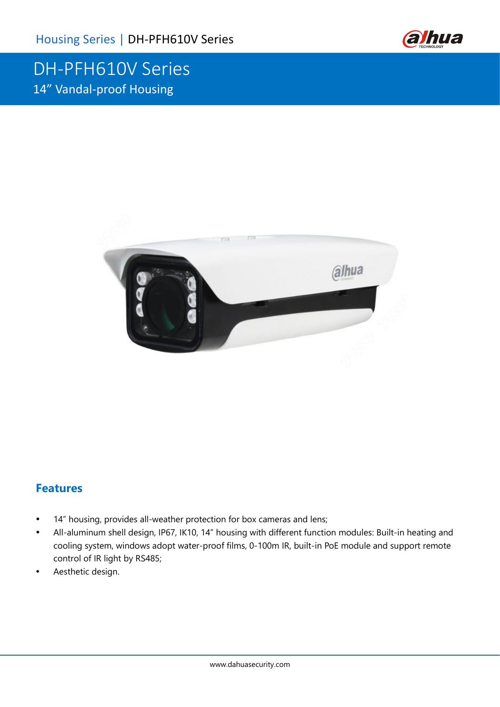

## DH-PFH610V Series 14" Vandal-proof Housing



### **Features**

- 14" housing, provides all-weather protection for box cameras and lens;
- All-aluminum shell design, IP67, IK10, 14" housing with different function modules: Built-in heating and cooling system, windows adopt water-proof films, 0-100m IR, built-in PoE module and support remote control of IR light by RS485;
- Aesthetic design.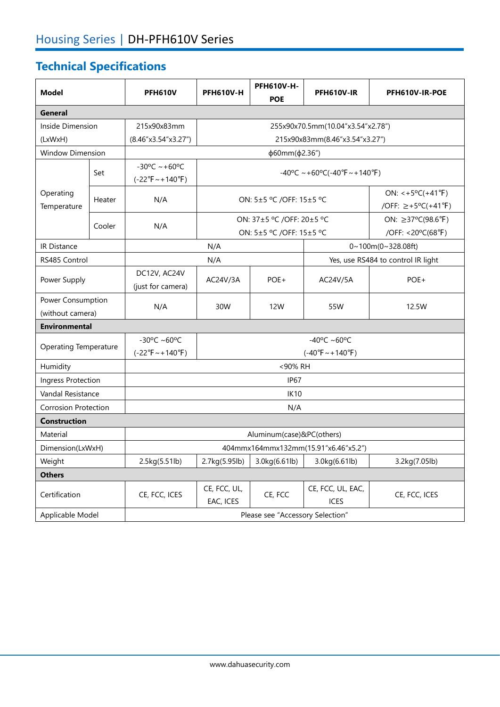# **Technical Specifications**

| <b>Model</b>                          |        | <b>PFH610V</b>                                               | <b>PFH610V-H</b>                                             | <b>PFH610V-H-</b><br><b>POE</b> | <b>PFH610V-IR</b>                  | PFH610V-IR-POE                                              |  |
|---------------------------------------|--------|--------------------------------------------------------------|--------------------------------------------------------------|---------------------------------|------------------------------------|-------------------------------------------------------------|--|
| <b>General</b>                        |        |                                                              |                                                              |                                 |                                    |                                                             |  |
| Inside Dimension                      |        | 215x90x83mm                                                  | 255x90x70.5mm(10.04"x3.54"x2.78")                            |                                 |                                    |                                                             |  |
| (LxWxH)                               |        | (8.46"x3.54"x3.27")                                          | 215x90x83mm(8.46"x3.54"x3.27")                               |                                 |                                    |                                                             |  |
| <b>Window Dimension</b>               |        |                                                              | ф60mm(ф2.36")                                                |                                 |                                    |                                                             |  |
| Operating<br>Temperature              | Set    | $-30^{\circ}$ C ~ +60°C<br>$(-22°F \sim +140°F)$             | $-40^{\circ}$ C ~ +60°C(-40°F ~ +140°F)                      |                                 |                                    |                                                             |  |
|                                       | Heater | N/A                                                          | ON: 5±5 °C /OFF: 15±5 °C                                     |                                 |                                    | $ON: <+5°C(+41°F)$<br>/OFF: $\ge +5^{\circ}C(+41^{\circ}F)$ |  |
|                                       | Cooler | N/A                                                          | ON: 37±5 °C /OFF: 20±5 °C<br>ON: 5±5 °C /OFF: 15±5 °C        |                                 |                                    | ON: ≥37°C(98.6°F)<br>/OFF: <20°C(68°F)                      |  |
| <b>IR Distance</b>                    |        |                                                              | N/A                                                          |                                 |                                    | 0~100m(0~328.08ft)                                          |  |
| RS485 Control                         |        | N/A                                                          |                                                              |                                 | Yes, use RS484 to control IR light |                                                             |  |
| Power Supply                          |        | DC12V, AC24V<br>(just for camera)                            | AC24V/3A                                                     | POE+                            | AC24V/5A                           | POE+                                                        |  |
| Power Consumption<br>(without camera) |        | N/A                                                          | 30W                                                          | <b>12W</b>                      | 55W                                | 12.5W                                                       |  |
| <b>Environmental</b>                  |        |                                                              |                                                              |                                 |                                    |                                                             |  |
| <b>Operating Temperature</b>          |        | $-30^{\circ}$ C ~60°C<br>$(-22^{\circ}F \sim +140^{\circ}F)$ | $-40^{\circ}$ C ~60°C<br>$(-40^{\circ}F \sim +140^{\circ}F)$ |                                 |                                    |                                                             |  |
| Humidity                              |        | <90% RH                                                      |                                                              |                                 |                                    |                                                             |  |
| Ingress Protection                    |        | IP <sub>67</sub>                                             |                                                              |                                 |                                    |                                                             |  |
| Vandal Resistance                     |        | <b>IK10</b>                                                  |                                                              |                                 |                                    |                                                             |  |
| <b>Corrosion Protection</b>           |        | N/A                                                          |                                                              |                                 |                                    |                                                             |  |
| <b>Construction</b>                   |        |                                                              |                                                              |                                 |                                    |                                                             |  |
| Material                              |        | Aluminum(case)&PC(others)                                    |                                                              |                                 |                                    |                                                             |  |
| Dimension(LxWxH)                      |        | 404mmx164mmx132mm(15.91"x6.46"x5.2")                         |                                                              |                                 |                                    |                                                             |  |
| Weight                                |        | 2.5kg(5.51lb)                                                | 2.7kg(5.95lb)                                                | 3.0kg(6.61lb)                   | 3.0kg(6.61lb)                      | 3.2kg(7.05lb)                                               |  |
| <b>Others</b>                         |        |                                                              |                                                              |                                 |                                    |                                                             |  |
| Certification                         |        | CE, FCC, ICES                                                | CE, FCC, UL,<br>EAC, ICES                                    | CE, FCC                         | CE, FCC, UL, EAC,<br><b>ICES</b>   | CE, FCC, ICES                                               |  |
| Applicable Model                      |        | Please see "Accessory Selection"                             |                                                              |                                 |                                    |                                                             |  |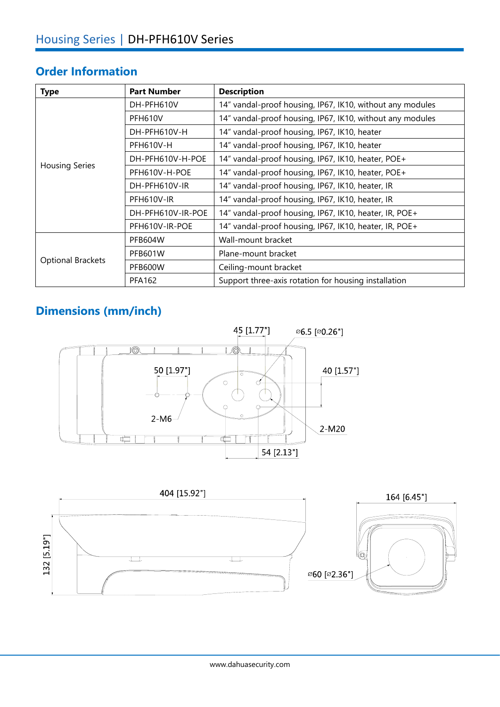### **Order Information**

| <b>Type</b>              | <b>Part Number</b> | <b>Description</b>                                        |  |  |
|--------------------------|--------------------|-----------------------------------------------------------|--|--|
|                          | DH-PFH610V         | 14" vandal-proof housing, IP67, IK10, without any modules |  |  |
|                          | <b>PFH610V</b>     | 14" vandal-proof housing, IP67, IK10, without any modules |  |  |
|                          | DH-PFH610V-H       | 14" vandal-proof housing, IP67, IK10, heater              |  |  |
|                          | <b>PFH610V-H</b>   | 14" vandal-proof housing, IP67, IK10, heater              |  |  |
|                          | DH-PFH610V-H-POE   | 14" vandal-proof housing, IP67, IK10, heater, POE+        |  |  |
| <b>Housing Series</b>    | PFH610V-H-POE      | 14" vandal-proof housing, IP67, IK10, heater, POE+        |  |  |
|                          | DH-PFH610V-IR      | 14" vandal-proof housing, IP67, IK10, heater, IR          |  |  |
|                          | PFH610V-IR         | 14" vandal-proof housing, IP67, IK10, heater, IR          |  |  |
|                          | DH-PFH610V-IR-POE  | 14" vandal-proof housing, IP67, IK10, heater, IR, POE+    |  |  |
|                          | PFH610V-IR-POE     | 14" vandal-proof housing, IP67, IK10, heater, IR, POE+    |  |  |
|                          | <b>PFB604W</b>     | Wall-mount bracket                                        |  |  |
|                          | <b>PFB601W</b>     | Plane-mount bracket                                       |  |  |
| <b>Optional Brackets</b> | PFB600W            | Ceiling-mount bracket                                     |  |  |
|                          | <b>PFA162</b>      | Support three-axis rotation for housing installation      |  |  |

## **Dimensions (mm/inch)**